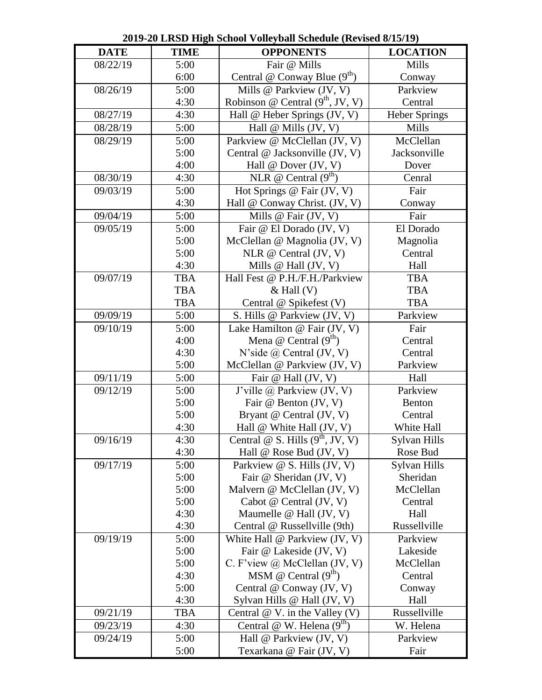| <b>DATE</b> | <b>TIME</b> | <b>OPPONENTS</b>                        | <b>LOCATION</b>      |
|-------------|-------------|-----------------------------------------|----------------------|
| 08/22/19    | 5:00        | Fair @ Mills                            | Mills                |
|             | 6:00        | Central $\omega$ Conway Blue $(9^{th})$ | Conway               |
| 08/26/19    | 5:00        | Mills @ Parkview (JV, V)                | Parkview             |
|             | 4:30        | Robinson @ Central $(9th, JV, V)$       | Central              |
| 08/27/19    | 4:30        | Hall @ Heber Springs (JV, V)            | <b>Heber Springs</b> |
| 08/28/19    | 5:00        | Hall $@$ Mills (JV, V)                  | Mills                |
| 08/29/19    | 5:00        | Parkview @ McClellan (JV, V)            | McClellan            |
|             | 5:00        | Central @ Jacksonville (JV, V)          | Jacksonville         |
|             | 4:00        | Hall @ Dover (JV, V)                    | Dover                |
| 08/30/19    | 4:30        | NLR @ Central $(9th)$                   | Cenral               |
| 09/03/19    | 5:00        | Hot Springs @ Fair (JV, V)              | Fair                 |
|             | 4:30        | Hall @ Conway Christ. (JV, V)           | Conway               |
| 09/04/19    | 5:00        | Mills $@$ Fair (JV, V)                  | Fair                 |
| 09/05/19    | 5:00        | Fair @ El Dorado (JV, V)                | El Dorado            |
|             | 5:00        | McClellan @ Magnolia (JV, V)            | Magnolia             |
|             | 5:00        | NLR $@$ Central (JV, V)                 | Central              |
|             | 4:30        | Mills $@$ Hall $(JV, V)$                | Hall                 |
| 09/07/19    | <b>TBA</b>  | Hall Fest @ P.H./F.H./Parkview          | <b>TBA</b>           |
|             | <b>TBA</b>  | $&$ Hall $(V)$                          | <b>TBA</b>           |
|             | <b>TBA</b>  | Central @ Spikefest (V)                 | <b>TBA</b>           |
| 09/09/19    | 5:00        | S. Hills @ Parkview (JV, V)             | Parkview             |
| 09/10/19    | 5:00        | Lake Hamilton @ Fair (JV, V)            | Fair                 |
|             | 4:00        | Mena @ Central $(9th)$                  | Central              |
|             | 4:30        | N'side $\omega$ Central (JV, V)         | Central              |
|             | 5:00        | McClellan @ Parkview (JV, V)            | Parkview             |
| 09/11/19    | 5:00        | Fair @ Hall (JV, V)                     | Hall                 |
| 09/12/19    | 5:00        | J'ville @ Parkview (JV, V)              | Parkview             |
|             | 5:00        | Fair @ Benton (JV, V)                   | Benton               |
|             | 5:00        | Bryant @ Central (JV, V)                | Central              |
|             | 4:30        | Hall @ White Hall (JV, V)               | White Hall           |
| 09/16/19    | 4:30        | Central @ S. Hills $(9th, JV, V)$       | Sylvan Hills         |
|             | 4:30        | Hall $\omega$ Rose Bud (JV, V)          | Rose Bud             |
| 09/17/19    | 5:00        | Parkview @ S. Hills (JV, V)             | Sylvan Hills         |
|             | 5:00        | Fair @ Sheridan (JV, V)                 | Sheridan             |
|             | 5:00        | Malvern @ McClellan (JV, V)             | McClellan            |
|             | 5:00        | Cabot $@$ Central $(JV, V)$             | Central              |
|             | 4:30        | Maumelle $@$ Hall (JV, V)               | Hall                 |
|             | 4:30        | Central @ Russellville (9th)            | Russellville         |
| 09/19/19    | 5:00        | White Hall @ Parkview (JV, V)           | Parkview             |
|             | 5:00        | Fair @ Lakeside (JV, V)                 | Lakeside             |
|             | 5:00        | C. F'view @ McClellan (JV, V)           | McClellan            |
|             | 4:30        | MSM @ Central $(9th)$                   | Central              |
|             | 5:00        | Central @ Conway (JV, V)                | Conway               |
|             | 4:30        | Sylvan Hills @ Hall (JV, V)             | Hall                 |
| 09/21/19    | <b>TBA</b>  | Central $@V.$ in the Valley (V)         | Russellville         |
| 09/23/19    | 4:30        | Central @ W. Helena $(9th)$             | W. Helena            |
| 09/24/19    | 5:00        | Hall @ Parkview (JV, V)                 | Parkview             |
|             | 5:00        | Texarkana @ Fair (JV, V)                | Fair                 |

**2019-20 LRSD High School Volleyball Schedule (Revised 8/15/19)**